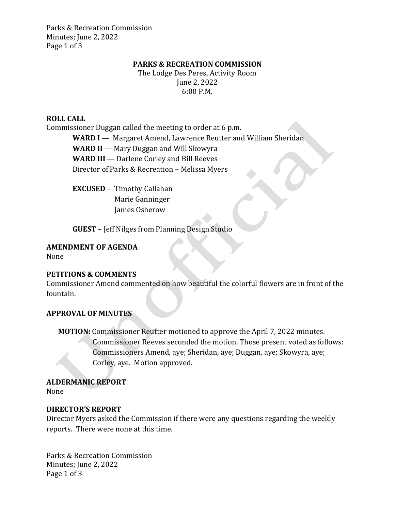Parks & Recreation Commission Minutes; June 2, 2022 Page 1 of 3

#### **PARKS & RECREATION COMMISSION**

The Lodge Des Peres, Activity Room June 2, 2022 6:00 P.M.

#### **ROLL CALL**

Commissioner Duggan called the meeting to order at 6 p.m.

**WARD I** — Margaret Amend, Lawrence Reutter and William Sheridan

**WARD II** — Mary Duggan and Will Skowyra

**WARD III** — Darlene Corley and Bill Reeves

Director of Parks & Recreation – Melissa Myers

**EXCUSED** –Timothy Callahan Marie Ganninger James Osherow

**GUEST** – Jeff Nilges from Planning Design Studio

#### **AMENDMENT OF AGENDA**

None

### **PETITIONS & COMMENTS**

Commissioner Amend commented on how beautiful the colorful flowers are in front of the fountain.

### **APPROVAL OF MINUTES**

**MOTION:** Commissioner Reutter motioned to approve the April 7, 2022 minutes. Commissioner Reeves seconded the motion. Those present voted as follows: Commissioners Amend, aye; Sheridan, aye; Duggan, aye; Skowyra, aye; Corley, aye. Motion approved.

### **ALDERMANIC REPORT**

None

### **DIRECTOR'S REPORT**

Director Myers asked the Commission if there were any questions regarding the weekly reports. There were none at this time.

Parks & Recreation Commission Minutes; June 2, 2022 Page 1 of 3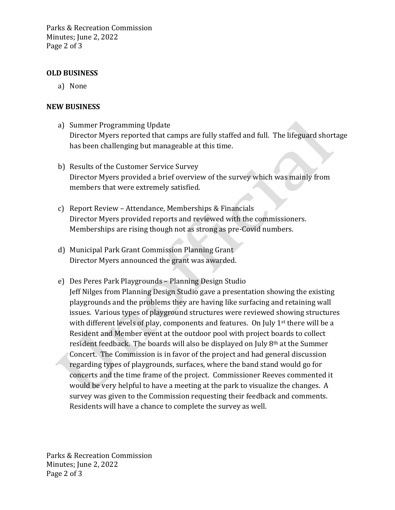Parks & Recreation Commission Minutes; June 2, 2022 Page 2 of 3

# **OLD BUSINESS**

a) None

# **NEW BUSINESS**

- a) Summer Programming Update Director Myers reported that camps are fully staffed and full. The lifeguard shortage has been challenging but manageable at this time.
- b) Results of the Customer Service Survey Director Myers provided a brief overview of the survey which was mainly from members that were extremely satisfied.
- c) Report Review Attendance, Memberships & Financials Director Myers provided reports and reviewed with the commissioners. Memberships are rising though not as strong as pre-Covid numbers.
- d) Municipal Park Grant Commission Planning Grant Director Myers announced the grant was awarded.
- e) Des Peres Park Playgrounds Planning Design Studio Jeff Nilges from Planning Design Studio gave a presentation showing the existing playgrounds and the problems they are having like surfacing and retaining wall issues. Various types of playground structures were reviewed showing structures with different levels of play, components and features. On July  $1<sup>st</sup>$  there will be a Resident and Member event at the outdoor pool with project boards to collect resident feedback. The boards will also be displayed on July 8th at the Summer Concert. The Commission is in favor of the project and had general discussion regarding types of playgrounds, surfaces, where the band stand would go for concerts and the time frame of the project. Commissioner Reeves commented it would be very helpful to have a meeting at the park to visualize the changes. A survey was given to the Commission requesting their feedback and comments. Residents will have a chance to complete the survey as well.

Parks & Recreation Commission Minutes; June 2, 2022 Page 2 of 3